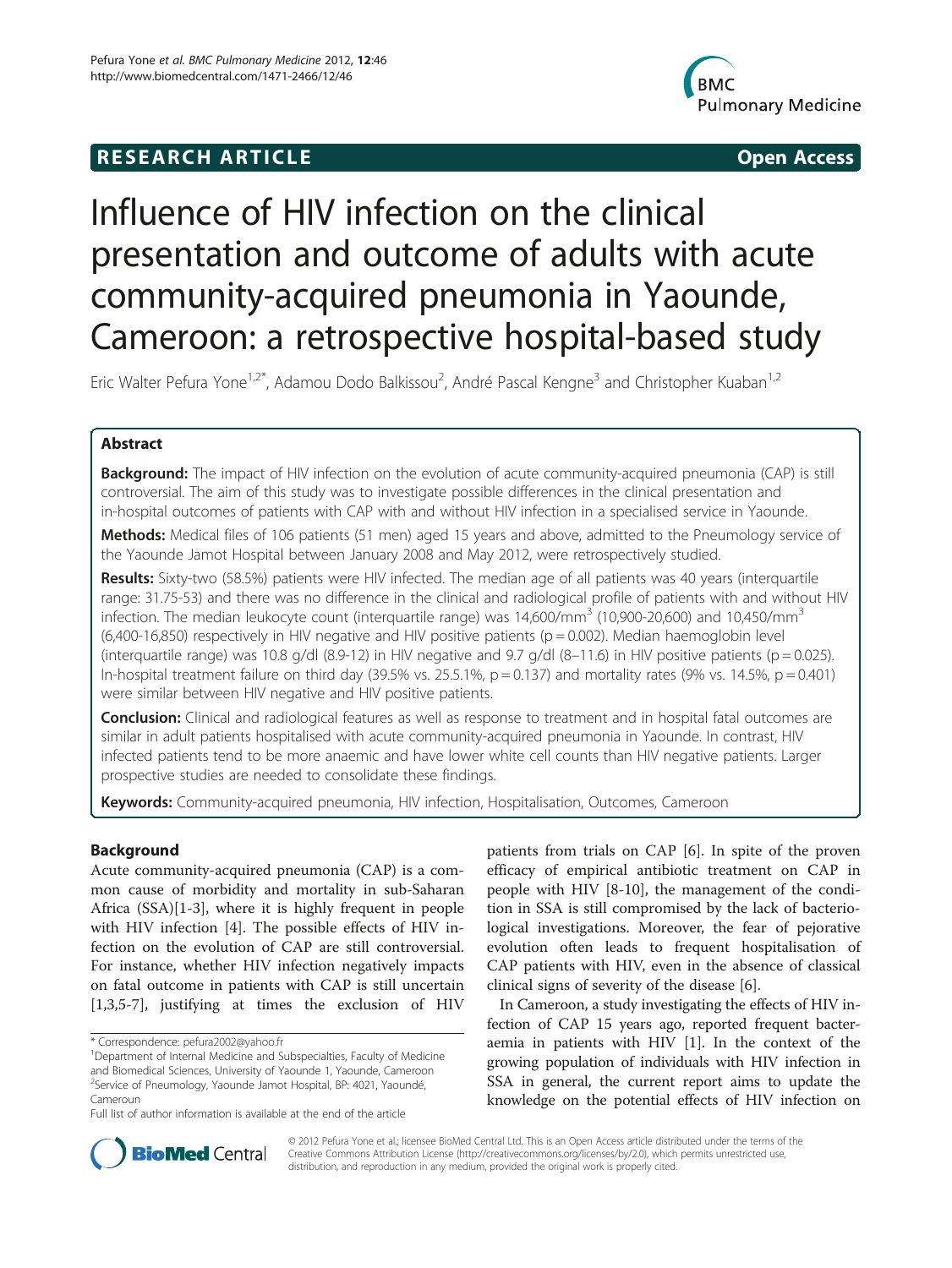# **RESEARCH ARTICLE Example 2014 The SEAR CH ACCESS**



# Influence of HIV infection on the clinical presentation and outcome of adults with acute community-acquired pneumonia in Yaounde, Cameroon: a retrospective hospital-based study

Eric Walter Pefura Yone<sup>1,2\*</sup>, Adamou Dodo Balkissou<sup>2</sup>, André Pascal Kengne<sup>3</sup> and Christopher Kuaban<sup>1,2</sup>

# Abstract

**Background:** The impact of HIV infection on the evolution of acute community-acquired pneumonia (CAP) is still controversial. The aim of this study was to investigate possible differences in the clinical presentation and in-hospital outcomes of patients with CAP with and without HIV infection in a specialised service in Yaounde.

Methods: Medical files of 106 patients (51 men) aged 15 years and above, admitted to the Pneumology service of the Yaounde Jamot Hospital between January 2008 and May 2012, were retrospectively studied.

Results: Sixty-two (58.5%) patients were HIV infected. The median age of all patients was 40 years (interquartile range: 31.75-53) and there was no difference in the clinical and radiological profile of patients with and without HIV infection. The median leukocyte count (interquartile range) was  $14,600/\text{mm}^3$  (10,900-20,600) and 10,450/mm<sup>3</sup> (6,400-16,850) respectively in HIV negative and HIV positive patients (p = 0.002). Median haemoglobin level (interquartile range) was 10.8 g/dl (8.9-12) in HIV negative and 9.7 g/dl (8-11.6) in HIV positive patients (p = 0.025). In-hospital treatment failure on third day (39.5% vs. 25.5.1%,  $p = 0.137$ ) and mortality rates (9% vs. 14.5%,  $p = 0.401$ ) were similar between HIV negative and HIV positive patients.

**Conclusion:** Clinical and radiological features as well as response to treatment and in hospital fatal outcomes are similar in adult patients hospitalised with acute community-acquired pneumonia in Yaounde. In contrast, HIV infected patients tend to be more anaemic and have lower white cell counts than HIV negative patients. Larger prospective studies are needed to consolidate these findings.

Keywords: Community-acquired pneumonia, HIV infection, Hospitalisation, Outcomes, Cameroon

# Background

Acute community-acquired pneumonia (CAP) is a common cause of morbidity and mortality in sub-Saharan Africa (SSA)[\[1](#page-4-0)-[3\]](#page-4-0), where it is highly frequent in people with HIV infection [[4\]](#page-4-0). The possible effects of HIV infection on the evolution of CAP are still controversial. For instance, whether HIV infection negatively impacts on fatal outcome in patients with CAP is still uncertain [[1,3,5-7](#page-4-0)], justifying at times the exclusion of HIV

patients from trials on CAP [[6\]](#page-4-0). In spite of the proven efficacy of empirical antibiotic treatment on CAP in people with HIV [\[8](#page-4-0)-[10\]](#page-4-0), the management of the condition in SSA is still compromised by the lack of bacteriological investigations. Moreover, the fear of pejorative evolution often leads to frequent hospitalisation of CAP patients with HIV, even in the absence of classical clinical signs of severity of the disease [[6\]](#page-4-0).

In Cameroon, a study investigating the effects of HIV infection of CAP 15 years ago, reported frequent bacteraemia in patients with HIV [\[1](#page-4-0)]. In the context of the growing population of individuals with HIV infection in SSA in general, the current report aims to update the knowledge on the potential effects of HIV infection on



© 2012 Pefura Yone et al.; licensee BioMed Central Ltd. This is an Open Access article distributed under the terms of the Creative Commons Attribution License (<http://creativecommons.org/licenses/by/2.0>), which permits unrestricted use, distribution, and reproduction in any medium, provided the original work is properly cited.

<sup>\*</sup> Correspondence: [pefura2002@yahoo.fr](mailto:pefura2002@yahoo.fr) <sup>1</sup>

<sup>&</sup>lt;sup>1</sup>Department of Internal Medicine and Subspecialties, Faculty of Medicine and Biomedical Sciences, University of Yaounde 1, Yaounde, Cameroon 2 Service of Pneumology, Yaounde Jamot Hospital, BP: 4021, Yaoundé, Cameroun

Full list of author information is available at the end of the article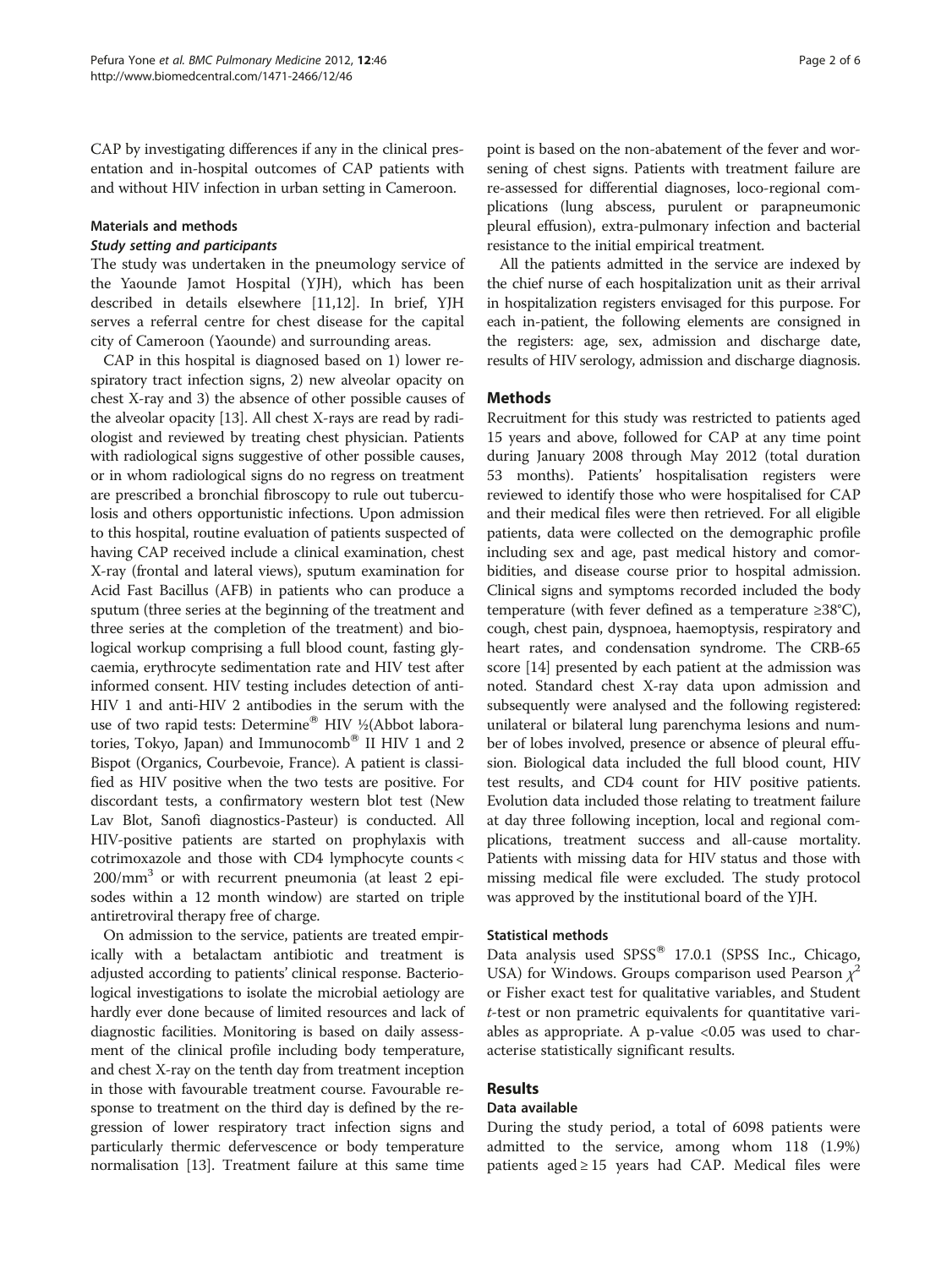CAP by investigating differences if any in the clinical presentation and in-hospital outcomes of CAP patients with and without HIV infection in urban setting in Cameroon.

#### Materials and methods

#### Study setting and participants

The study was undertaken in the pneumology service of the Yaounde Jamot Hospital (YJH), which has been described in details elsewhere [\[11,12\]](#page-4-0). In brief, YJH serves a referral centre for chest disease for the capital city of Cameroon (Yaounde) and surrounding areas.

CAP in this hospital is diagnosed based on 1) lower respiratory tract infection signs, 2) new alveolar opacity on chest X-ray and 3) the absence of other possible causes of the alveolar opacity [\[13\]](#page-4-0). All chest X-rays are read by radiologist and reviewed by treating chest physician. Patients with radiological signs suggestive of other possible causes, or in whom radiological signs do no regress on treatment are prescribed a bronchial fibroscopy to rule out tuberculosis and others opportunistic infections. Upon admission to this hospital, routine evaluation of patients suspected of having CAP received include a clinical examination, chest X-ray (frontal and lateral views), sputum examination for Acid Fast Bacillus (AFB) in patients who can produce a sputum (three series at the beginning of the treatment and three series at the completion of the treatment) and biological workup comprising a full blood count, fasting glycaemia, erythrocyte sedimentation rate and HIV test after informed consent. HIV testing includes detection of anti-HIV 1 and anti-HIV 2 antibodies in the serum with the use of two rapid tests: Determine® HIV ½(Abbot laboratories, Tokyo, Japan) and Immunocomb<sup>®</sup> II HIV 1 and 2 Bispot (Organics, Courbevoie, France). A patient is classified as HIV positive when the two tests are positive. For discordant tests, a confirmatory western blot test (New Lav Blot, Sanofi diagnostics-Pasteur) is conducted. All HIV-positive patients are started on prophylaxis with cotrimoxazole and those with CD4 lymphocyte counts < 200/mm3 or with recurrent pneumonia (at least 2 episodes within a 12 month window) are started on triple antiretroviral therapy free of charge.

On admission to the service, patients are treated empirically with a betalactam antibiotic and treatment is adjusted according to patients' clinical response. Bacteriological investigations to isolate the microbial aetiology are hardly ever done because of limited resources and lack of diagnostic facilities. Monitoring is based on daily assessment of the clinical profile including body temperature, and chest X-ray on the tenth day from treatment inception in those with favourable treatment course. Favourable response to treatment on the third day is defined by the regression of lower respiratory tract infection signs and particularly thermic defervescence or body temperature normalisation [[13](#page-4-0)]. Treatment failure at this same time

point is based on the non-abatement of the fever and worsening of chest signs. Patients with treatment failure are re-assessed for differential diagnoses, loco-regional complications (lung abscess, purulent or parapneumonic pleural effusion), extra-pulmonary infection and bacterial resistance to the initial empirical treatment.

All the patients admitted in the service are indexed by the chief nurse of each hospitalization unit as their arrival in hospitalization registers envisaged for this purpose. For each in-patient, the following elements are consigned in the registers: age, sex, admission and discharge date, results of HIV serology, admission and discharge diagnosis.

# **Methods**

Recruitment for this study was restricted to patients aged 15 years and above, followed for CAP at any time point during January 2008 through May 2012 (total duration 53 months). Patients' hospitalisation registers were reviewed to identify those who were hospitalised for CAP and their medical files were then retrieved. For all eligible patients, data were collected on the demographic profile including sex and age, past medical history and comorbidities, and disease course prior to hospital admission. Clinical signs and symptoms recorded included the body temperature (with fever defined as a temperature ≥38°C), cough, chest pain, dyspnoea, haemoptysis, respiratory and heart rates, and condensation syndrome. The CRB-65 score [[14](#page-4-0)] presented by each patient at the admission was noted. Standard chest X-ray data upon admission and subsequently were analysed and the following registered: unilateral or bilateral lung parenchyma lesions and number of lobes involved, presence or absence of pleural effusion. Biological data included the full blood count, HIV test results, and CD4 count for HIV positive patients. Evolution data included those relating to treatment failure at day three following inception, local and regional complications, treatment success and all-cause mortality. Patients with missing data for HIV status and those with missing medical file were excluded. The study protocol was approved by the institutional board of the YJH.

#### Statistical methods

Data analysis used  $SPSS^{\circledast}$  17.0.1 (SPSS Inc., Chicago, USA) for Windows. Groups comparison used Pearson  $\chi^2$ or Fisher exact test for qualitative variables, and Student t-test or non prametric equivalents for quantitative variables as appropriate. A p-value <0.05 was used to characterise statistically significant results.

# Results

#### Data available

During the study period, a total of 6098 patients were admitted to the service, among whom 118 (1.9%) patients aged ≥ 15 years had CAP. Medical files were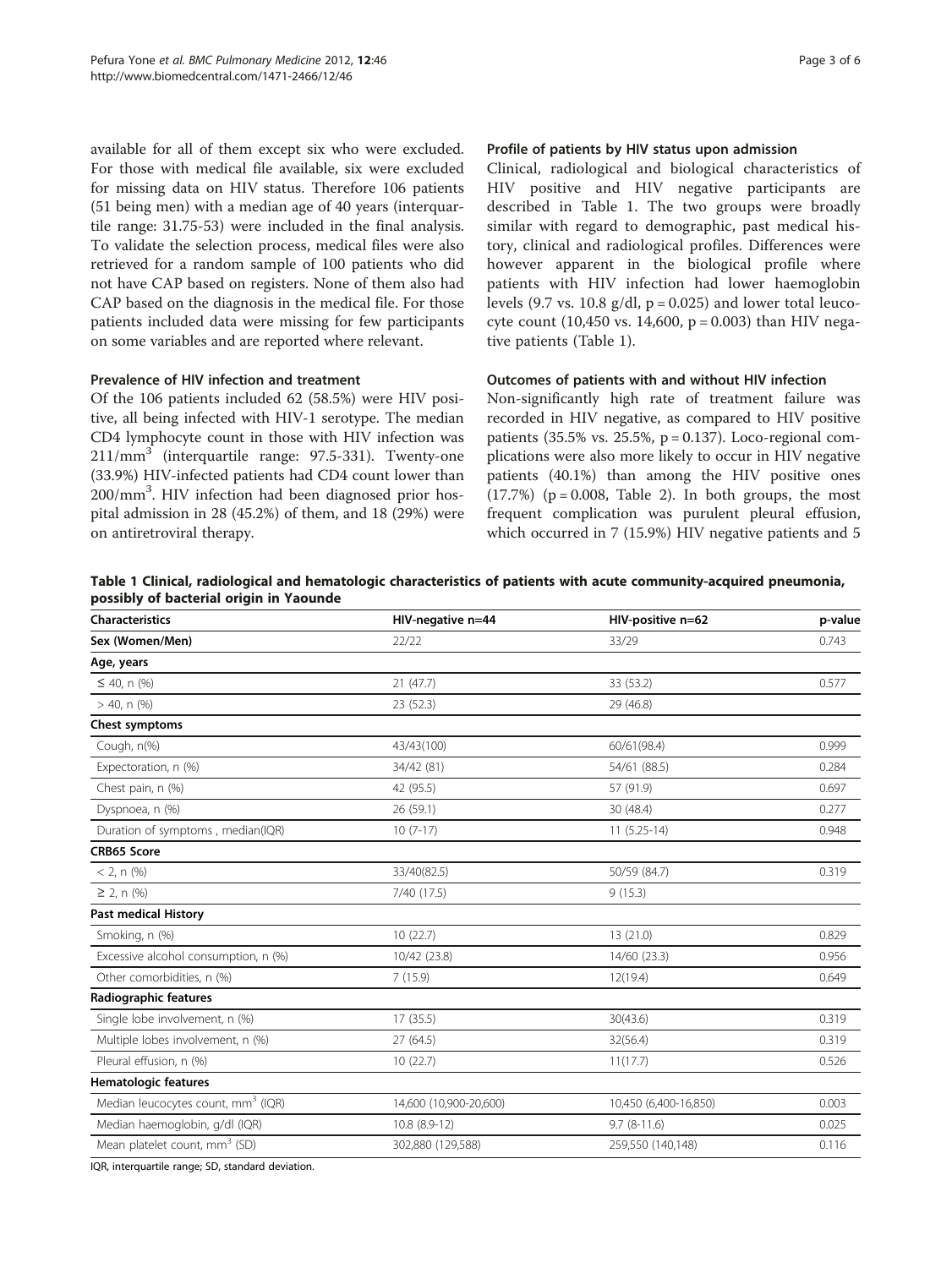available for all of them except six who were excluded. For those with medical file available, six were excluded for missing data on HIV status. Therefore 106 patients (51 being men) with a median age of 40 years (interquartile range: 31.75-53) were included in the final analysis. To validate the selection process, medical files were also retrieved for a random sample of 100 patients who did not have CAP based on registers. None of them also had CAP based on the diagnosis in the medical file. For those patients included data were missing for few participants on some variables and are reported where relevant.

# Prevalence of HIV infection and treatment

Of the 106 patients included 62 (58.5%) were HIV positive, all being infected with HIV-1 serotype. The median CD4 lymphocyte count in those with HIV infection was  $211/mm<sup>3</sup>$  (interquartile range: 97.5-331). Twenty-one (33.9%) HIV-infected patients had CD4 count lower than 200/mm<sup>3</sup>. HIV infection had been diagnosed prior hospital admission in 28 (45.2%) of them, and 18 (29%) were on antiretroviral therapy.

#### Profile of patients by HIV status upon admission

Clinical, radiological and biological characteristics of HIV positive and HIV negative participants are described in Table 1. The two groups were broadly similar with regard to demographic, past medical history, clinical and radiological profiles. Differences were however apparent in the biological profile where patients with HIV infection had lower haemoglobin levels (9.7 vs. 10.8  $g/dl$ ,  $p = 0.025$ ) and lower total leucocyte count (10,450 vs. 14,600,  $p = 0.003$ ) than HIV negative patients (Table 1).

# Outcomes of patients with and without HIV infection

Non-significantly high rate of treatment failure was recorded in HIV negative, as compared to HIV positive patients (35.5% vs. 25.5%,  $p = 0.137$ ). Loco-regional complications were also more likely to occur in HIV negative patients (40.1%) than among the HIV positive ones  $(17.7%)$  ( $p = 0.008$ , Table [2\)](#page-3-0). In both groups, the most frequent complication was purulent pleural effusion, which occurred in 7 (15.9%) HIV negative patients and 5

| Table 1 Clinical, radiological and hematologic characteristics of patients with acute community-acquired pneumonia, |  |  |
|---------------------------------------------------------------------------------------------------------------------|--|--|
| possibly of bacterial origin in Yaounde                                                                             |  |  |

| <b>Characteristics</b>                         | HIV-negative n=44      | HIV-positive n=62     | p-value |
|------------------------------------------------|------------------------|-----------------------|---------|
| Sex (Women/Men)                                | 22/22                  | 33/29                 | 0.743   |
| Age, years                                     |                        |                       |         |
| $\leq$ 40, n (%)                               | 21(47.7)               | 33 (53.2)             | 0.577   |
| $> 40$ , n $(\%)$                              | 23 (52.3)              | 29 (46.8)             |         |
| Chest symptoms                                 |                        |                       |         |
| Cough, n(%)                                    | 43/43(100)             | 60/61(98.4)           | 0.999   |
| Expectoration, n (%)                           | 34/42 (81)             | 54/61 (88.5)          | 0.284   |
| Chest pain, n (%)                              | 42 (95.5)              | 57 (91.9)             | 0.697   |
| Dyspnoea, n (%)                                | 26 (59.1)              | 30 (48.4)             | 0.277   |
| Duration of symptoms, median(IQR)              | $10(7-17)$             | $11(5.25-14)$         | 0.948   |
| <b>CRB65 Score</b>                             |                        |                       |         |
| $< 2, n$ (%)                                   | 33/40(82.5)            | 50/59 (84.7)          | 0.319   |
| $\geq$ 2, n $(\% )$                            | 7/40 (17.5)            | 9(15.3)               |         |
| <b>Past medical History</b>                    |                        |                       |         |
| Smoking, n (%)                                 | 10(22.7)               | 13(21.0)              | 0.829   |
| Excessive alcohol consumption, n (%)           | 10/42 (23.8)           | 14/60 (23.3)          | 0.956   |
| Other comorbidities, n (%)                     | 7(15.9)                | 12(19.4)              | 0.649   |
| Radiographic features                          |                        |                       |         |
| Single lobe involvement, n (%)                 | 17 (35.5)              | 30(43.6)              | 0.319   |
| Multiple lobes involvement, n (%)              | 27(64.5)               | 32(56.4)              | 0.319   |
| Pleural effusion, n (%)                        | 10(22.7)               | 11(17.7)              | 0.526   |
| <b>Hematologic features</b>                    |                        |                       |         |
| Median leucocytes count, mm <sup>3</sup> (IQR) | 14,600 (10,900-20,600) | 10,450 (6,400-16,850) | 0.003   |
| Median haemoglobin, g/dl (IQR)                 | 10.8 (8.9-12)          | $9.7(8-11.6)$         | 0.025   |
| Mean platelet count, mm <sup>3</sup> (SD)      | 302,880 (129,588)      | 259,550 (140,148)     | 0.116   |
|                                                |                        |                       |         |

IQR, interquartile range; SD, standard deviation.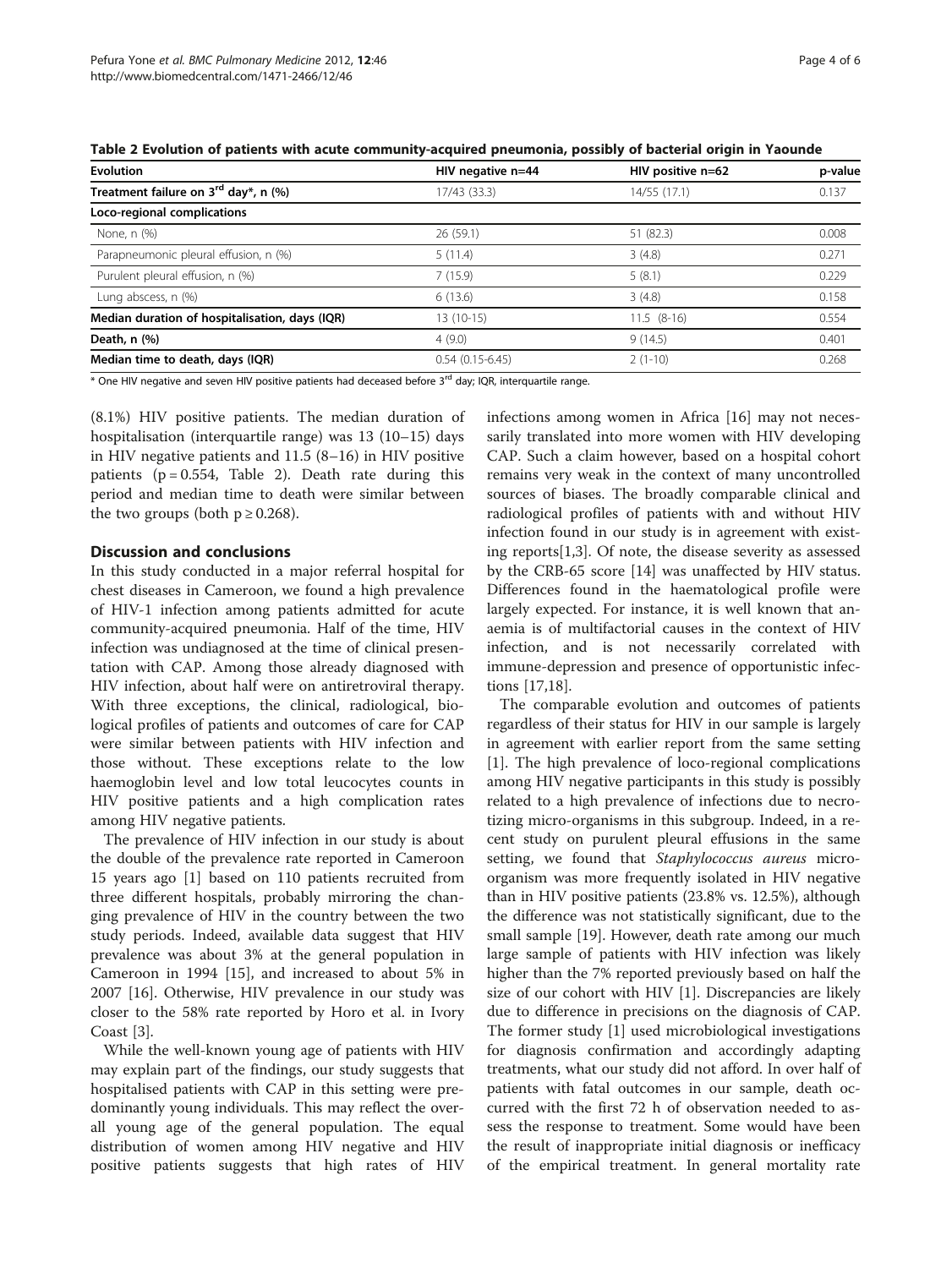<span id="page-3-0"></span>

| <b>Evolution</b>                               | HIV negative n=44 | HIV positive n=62 | p-value |
|------------------------------------------------|-------------------|-------------------|---------|
| Treatment failure on $3^{rd}$ day*, n (%)      | 17/43 (33.3)      | 14/55 (17.1)      | 0.137   |
| Loco-regional complications                    |                   |                   |         |
| None, n (%)                                    | 26 (59.1)         | 51 (82.3)         | 0.008   |
| Parapneumonic pleural effusion, n (%)          | 5(11.4)           | 3(4.8)            | 0.271   |
| Purulent pleural effusion, n (%)               | 7(15.9)           | 5(8.1)            | 0.229   |
| Lung abscess, n (%)                            | 6(13.6)           | 3(4.8)            | 0.158   |
| Median duration of hospitalisation, days (IQR) | $13(10-15)$       | $11.5$ $(8-16)$   | 0.554   |
| Death, n (%)                                   | 4(9.0)            | 9(14.5)           | 0.401   |
| Median time to death, days (IQR)               | $0.54(0.15-6.45)$ | $2(1-10)$         | 0.268   |

\* One HIV negative and seven HIV positive patients had deceased before 3rd day; IQR, interquartile range.

(8.1%) HIV positive patients. The median duration of hospitalisation (interquartile range) was 13 (10–15) days in HIV negative patients and 11.5 (8–16) in HIV positive patients ( $p = 0.554$ , Table 2). Death rate during this period and median time to death were similar between the two groups (both  $p \ge 0.268$ ).

## Discussion and conclusions

In this study conducted in a major referral hospital for chest diseases in Cameroon, we found a high prevalence of HIV-1 infection among patients admitted for acute community-acquired pneumonia. Half of the time, HIV infection was undiagnosed at the time of clinical presentation with CAP. Among those already diagnosed with HIV infection, about half were on antiretroviral therapy. With three exceptions, the clinical, radiological, biological profiles of patients and outcomes of care for CAP were similar between patients with HIV infection and those without. These exceptions relate to the low haemoglobin level and low total leucocytes counts in HIV positive patients and a high complication rates among HIV negative patients.

The prevalence of HIV infection in our study is about the double of the prevalence rate reported in Cameroon 15 years ago [\[1\]](#page-4-0) based on 110 patients recruited from three different hospitals, probably mirroring the changing prevalence of HIV in the country between the two study periods. Indeed, available data suggest that HIV prevalence was about 3% at the general population in Cameroon in 1994 [[15\]](#page-4-0), and increased to about 5% in 2007 [\[16](#page-4-0)]. Otherwise, HIV prevalence in our study was closer to the 58% rate reported by Horo et al. in Ivory Coast [[3\]](#page-4-0).

While the well-known young age of patients with HIV may explain part of the findings, our study suggests that hospitalised patients with CAP in this setting were predominantly young individuals. This may reflect the overall young age of the general population. The equal distribution of women among HIV negative and HIV positive patients suggests that high rates of HIV infections among women in Africa [\[16](#page-4-0)] may not necessarily translated into more women with HIV developing CAP. Such a claim however, based on a hospital cohort remains very weak in the context of many uncontrolled sources of biases. The broadly comparable clinical and radiological profiles of patients with and without HIV infection found in our study is in agreement with existing reports[[1,3\]](#page-4-0). Of note, the disease severity as assessed by the CRB-65 score [[14\]](#page-4-0) was unaffected by HIV status. Differences found in the haematological profile were largely expected. For instance, it is well known that anaemia is of multifactorial causes in the context of HIV infection, and is not necessarily correlated with immune-depression and presence of opportunistic infections [[17,18\]](#page-5-0).

The comparable evolution and outcomes of patients regardless of their status for HIV in our sample is largely in agreement with earlier report from the same setting [[1\]](#page-4-0). The high prevalence of loco-regional complications among HIV negative participants in this study is possibly related to a high prevalence of infections due to necrotizing micro-organisms in this subgroup. Indeed, in a recent study on purulent pleural effusions in the same setting, we found that Staphylococcus aureus microorganism was more frequently isolated in HIV negative than in HIV positive patients (23.8% vs. 12.5%), although the difference was not statistically significant, due to the small sample [[19\]](#page-5-0). However, death rate among our much large sample of patients with HIV infection was likely higher than the 7% reported previously based on half the size of our cohort with HIV [\[1\]](#page-4-0). Discrepancies are likely due to difference in precisions on the diagnosis of CAP. The former study [[1](#page-4-0)] used microbiological investigations for diagnosis confirmation and accordingly adapting treatments, what our study did not afford. In over half of patients with fatal outcomes in our sample, death occurred with the first 72 h of observation needed to assess the response to treatment. Some would have been the result of inappropriate initial diagnosis or inefficacy of the empirical treatment. In general mortality rate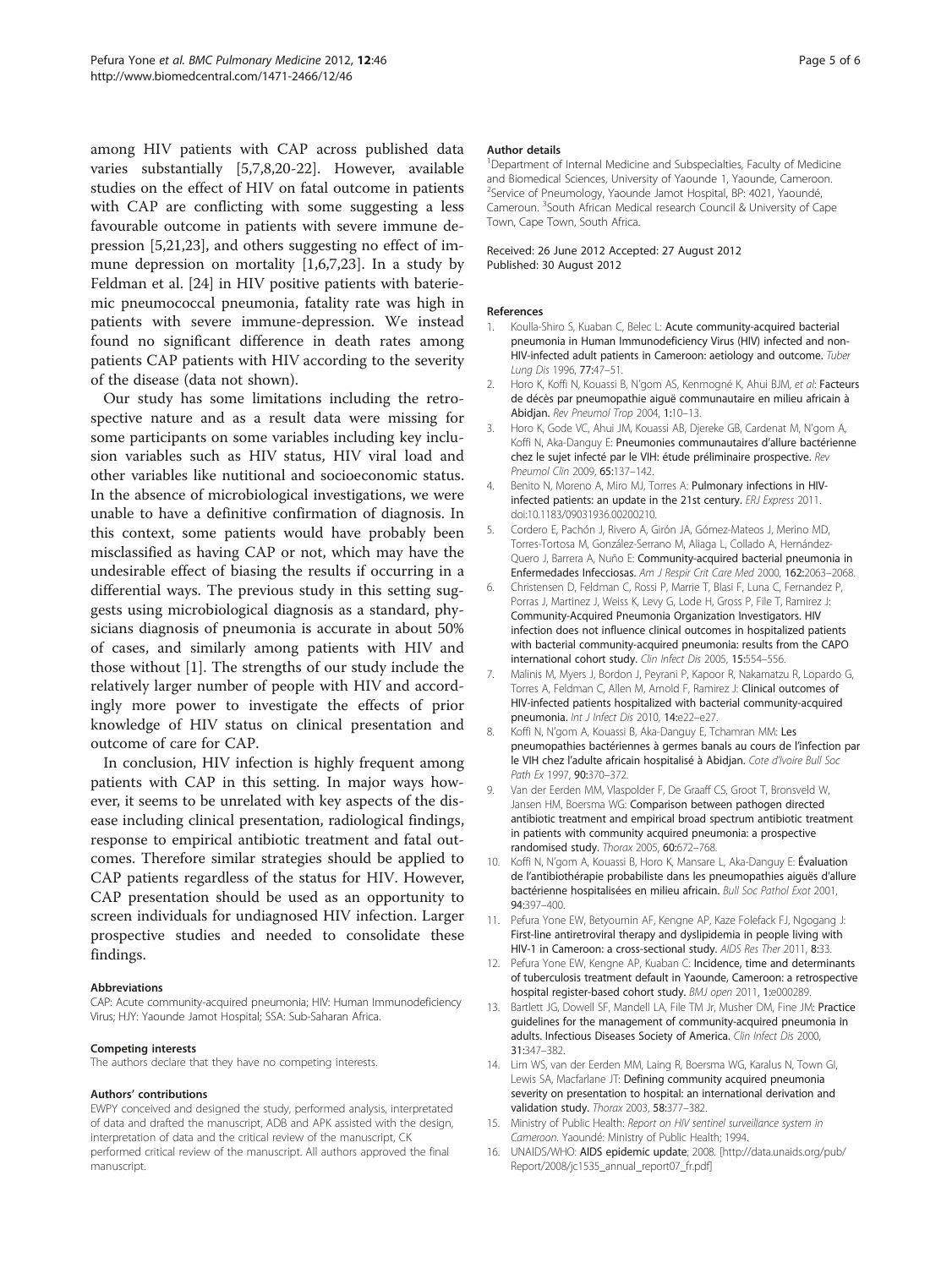<span id="page-4-0"></span>among HIV patients with CAP across published data varies substantially [5,7,8[,20-22](#page-5-0)]. However, available studies on the effect of HIV on fatal outcome in patients with CAP are conflicting with some suggesting a less favourable outcome in patients with severe immune depression [5,[21,23\]](#page-5-0), and others suggesting no effect of immune depression on mortality [1,6,7[,23](#page-5-0)]. In a study by Feldman et al. [[24\]](#page-5-0) in HIV positive patients with bateriemic pneumococcal pneumonia, fatality rate was high in patients with severe immune-depression. We instead found no significant difference in death rates among patients CAP patients with HIV according to the severity of the disease (data not shown).

Our study has some limitations including the retrospective nature and as a result data were missing for some participants on some variables including key inclusion variables such as HIV status, HIV viral load and other variables like nutitional and socioeconomic status. In the absence of microbiological investigations, we were unable to have a definitive confirmation of diagnosis. In this context, some patients would have probably been misclassified as having CAP or not, which may have the undesirable effect of biasing the results if occurring in a differential ways. The previous study in this setting suggests using microbiological diagnosis as a standard, physicians diagnosis of pneumonia is accurate in about 50% of cases, and similarly among patients with HIV and those without [1]. The strengths of our study include the relatively larger number of people with HIV and accordingly more power to investigate the effects of prior knowledge of HIV status on clinical presentation and outcome of care for CAP.

In conclusion, HIV infection is highly frequent among patients with CAP in this setting. In major ways however, it seems to be unrelated with key aspects of the disease including clinical presentation, radiological findings, response to empirical antibiotic treatment and fatal outcomes. Therefore similar strategies should be applied to CAP patients regardless of the status for HIV. However, CAP presentation should be used as an opportunity to screen individuals for undiagnosed HIV infection. Larger prospective studies and needed to consolidate these findings.

#### Abbreviations

CAP: Acute community-acquired pneumonia; HIV: Human Immunodeficiency Virus; HJY: Yaounde Jamot Hospital; SSA: Sub-Saharan Africa.

#### Competing interests

The authors declare that they have no competing interests.

#### Authors' contributions

EWPY conceived and designed the study, performed analysis, interpretated of data and drafted the manuscript, ADB and APK assisted with the design, interpretation of data and the critical review of the manuscript, CK performed critical review of the manuscript. All authors approved the final manuscript.

#### Author details

<sup>1</sup>Department of Internal Medicine and Subspecialties, Faculty of Medicine and Biomedical Sciences, University of Yaounde 1, Yaounde, Cameroon. <sup>2</sup>Service of Pneumology, Yaounde Jamot Hospital, BP: 4021, Yaoundé, Cameroun. <sup>3</sup>South African Medical research Council & University of Cape Town, Cape Town, South Africa.

#### Received: 26 June 2012 Accepted: 27 August 2012 Published: 30 August 2012

#### References

- 1. Koulla-Shiro S, Kuaban C, Belec L: Acute community-acquired bacterial pneumonia in Human Immunodeficiency Virus (HIV) infected and non-HIV-infected adult patients in Cameroon: aetiology and outcome. Tuber Lung Dis 1996, 77:47–51.
- 2. Horo K, Koffi N, Kouassi B, N'gom AS, Kenmogné K, Ahui BJM, et al: Facteurs de décès par pneumopathie aiguë communautaire en milieu africain à Abidjan. Rev Pneumol Trop 2004, 1:10–13.
- 3. Horo K, Gode VC, Ahui JM, Kouassi AB, Djereke GB, Cardenat M, N'gom A, Koffi N, Aka-Danguy E: Pneumonies communautaires d'allure bactérienne chez le sujet infecté par le VIH: étude préliminaire prospective. Rev Pneumol Clin 2009, 65:137–142.
- 4. Benito N, Moreno A, Miro MJ, Torres A: Pulmonary infections in HIVinfected patients: an update in the 21st century. ERJ Express 2011. doi[:10.1183/09031936.00200210.](http://dx.doi.org/10.1183/09031936.00200210)
- 5. Cordero E, Pachón J, Rivero A, Girón JA, Gómez-Mateos J, Merino MD, Torres-Tortosa M, González-Serrano M, Aliaga L, Collado A, Hernández-Quero J, Barrera A, Nuño E: Community-acquired bacterial pneumonia in Enfermedades Infecciosas. Am J Respir Crit Care Med 2000, 162:2063–2068.
- 6. Christensen D, Feldman C, Rossi P, Marrie T, Blasi F, Luna C, Fernandez P, Porras J, Martinez J, Weiss K, Levy G, Lode H, Gross P, File T, Ramirez J: Community-Acquired Pneumonia Organization Investigators. HIV infection does not influence clinical outcomes in hospitalized patients with bacterial community-acquired pneumonia: results from the CAPO international cohort study. Clin Infect Dis 2005, 15:554-556.
- 7. Malinis M, Myers J, Bordon J, Peyrani P, Kapoor R, Nakamatzu R, Lopardo G, Torres A, Feldman C, Allen M, Arnold F, Ramirez J: Clinical outcomes of HIV-infected patients hospitalized with bacterial community-acquired pneumonia. Int J Infect Dis 2010, 14:e22–e27.
- 8. Koffi N, N'gom A, Kouassi B, Aka-Danguy E, Tchamran MM: Les pneumopathies bactériennes à germes banals au cours de l'infection par le VIH chez l'adulte africain hospitalisé à Abidjan. Cote d'Ivoire Bull Soc Path Ex 1997, 90:370–372.
- 9. Van der Eerden MM, Vlaspolder F, De Graaff CS, Groot T, Bronsveld W, Jansen HM, Boersma WG: Comparison between pathogen directed antibiotic treatment and empirical broad spectrum antibiotic treatment in patients with community acquired pneumonia: a prospective randomised study. Thorax 2005, 60:672–768.
- 10. Koffi N, N'gom A, Kouassi B, Horo K, Mansare L, Aka-Danguy E: Évaluation de l'antibiothérapie probabiliste dans les pneumopathies aiguës d'allure bactérienne hospitalisées en milieu africain. Bull Soc Pathol Exot 2001, 94:397–400.
- 11. Pefura Yone EW, Betyoumin AF, Kengne AP, Kaze Folefack FJ, Ngogang J: First-line antiretroviral therapy and dyslipidemia in people living with HIV-1 in Cameroon: a cross-sectional study. AIDS Res Ther 2011, 8:33.
- 12. Pefura Yone EW, Kengne AP, Kuaban C: Incidence, time and determinants of tuberculosis treatment default in Yaounde, Cameroon: a retrospective hospital register-based cohort study. BMJ open 2011, 1:e000289.
- 13. Bartlett JG, Dowell SF, Mandell LA, File TM Jr, Musher DM, Fine JM: Practice guidelines for the management of community-acquired pneumonia in adults. Infectious Diseases Society of America. Clin Infect Dis 2000, 31:347–382.
- 14. Lim WS, van der Eerden MM, Laing R, Boersma WG, Karalus N, Town GI, Lewis SA, Macfarlane JT: Defining community acquired pneumonia severity on presentation to hospital: an international derivation and validation study. Thorax 2003, 58:377–382.
- 15. Ministry of Public Health: Report on HIV sentinel surveillance system in Cameroon. Yaoundé: Ministry of Public Health; 1994.
- 16. UNAIDS/WHO: AIDS epidemic update; 2008. [\[http://data.unaids.org/pub/](http://data.unaids.org/pub/Report/2008/jc1535_annual_report07_fr.pdf) [Report/2008/jc1535\\_annual\\_report07\\_fr.pdf](http://data.unaids.org/pub/Report/2008/jc1535_annual_report07_fr.pdf)]